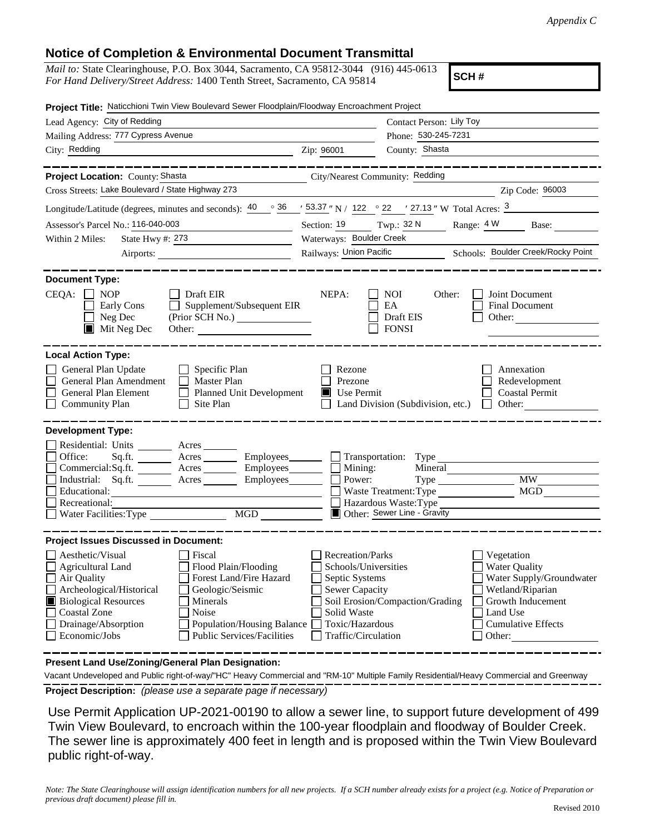## **Notice of Completion & Environmental Document Transmittal**

| <i>Mail to:</i> State Clearinghouse, P.O. Box 3044, Sacramento, CA 95812-3044 (916) 445-0613 |  |
|----------------------------------------------------------------------------------------------|--|
| For Hand Delivery/Street Address: 1400 Tenth Street, Sacramento, CA 95814                    |  |

**SCH #**

| Project Title: Naticchioni Twin View Boulevard Sewer Floodplain/Floodway Encroachment Project                                                                                                                                                                                                                                                                |                                                                                                                                       |                                                                                                                                                                                               |  |  |
|--------------------------------------------------------------------------------------------------------------------------------------------------------------------------------------------------------------------------------------------------------------------------------------------------------------------------------------------------------------|---------------------------------------------------------------------------------------------------------------------------------------|-----------------------------------------------------------------------------------------------------------------------------------------------------------------------------------------------|--|--|
| Lead Agency: City of Redding                                                                                                                                                                                                                                                                                                                                 |                                                                                                                                       | Contact Person: Lily Toy                                                                                                                                                                      |  |  |
| Mailing Address: 777 Cypress Avenue                                                                                                                                                                                                                                                                                                                          |                                                                                                                                       | Phone: 530-245-7231                                                                                                                                                                           |  |  |
| City: Redding                                                                                                                                                                                                                                                                                                                                                | Zip: 96001                                                                                                                            | County: Shasta                                                                                                                                                                                |  |  |
| Project Location: County: Shasta                                                                                                                                                                                                                                                                                                                             |                                                                                                                                       | City/Nearest Community: Redding                                                                                                                                                               |  |  |
| Cross Streets: Lake Boulevard / State Highway 273                                                                                                                                                                                                                                                                                                            |                                                                                                                                       | Zip Code: 96003                                                                                                                                                                               |  |  |
| Longitude/Latitude (degrees, minutes and seconds): $\frac{40}{9}$ $\frac{36}{9}$ $\frac{153.37}{9}$ N / 122 $\degree$ 22 $\degree$ 27.13 $\degree$ W Total Acres: $\frac{3}{9}$                                                                                                                                                                              |                                                                                                                                       |                                                                                                                                                                                               |  |  |
| Assessor's Parcel No.: 116-040-003                                                                                                                                                                                                                                                                                                                           | Section: 19 Twp.: 32 N                                                                                                                | Range: 4 W<br>Base:                                                                                                                                                                           |  |  |
| State Hwy #: 273<br>Within 2 Miles:                                                                                                                                                                                                                                                                                                                          | Waterways: Boulder Creek                                                                                                              |                                                                                                                                                                                               |  |  |
| Airports:                                                                                                                                                                                                                                                                                                                                                    |                                                                                                                                       | Railways: Union Pacific Schools: Boulder Creek/Rocky Point                                                                                                                                    |  |  |
| <b>Document Type:</b><br>CEQA:<br>$\top$ NOP<br>Draft EIR<br>Supplement/Subsequent EIR<br>Early Cons<br>Neg Dec<br>(Prior SCH No.)<br>$\blacksquare$ Mit Neg Dec<br>Other:                                                                                                                                                                                   | NEPA:                                                                                                                                 | <b>NOI</b><br>Other:<br>Joint Document<br>EA<br>Final Document<br>Draft EIS<br>Other:<br><b>FONSI</b>                                                                                         |  |  |
| <b>Local Action Type:</b>                                                                                                                                                                                                                                                                                                                                    |                                                                                                                                       |                                                                                                                                                                                               |  |  |
| General Plan Update<br>$\Box$ Specific Plan<br>General Plan Amendment<br>$\Box$ Master Plan<br>General Plan Element<br>Planned Unit Development<br><b>Community Plan</b><br>Site Plan                                                                                                                                                                        | Rezone<br>Prezone<br>$\blacksquare$ Use Permit                                                                                        | Annexation<br>Redevelopment<br><b>Coastal Permit</b><br>Land Division (Subdivision, etc.)<br>Other:                                                                                           |  |  |
| <b>Development Type:</b><br>Residential: Units _________ Acres _______<br>Office:<br>Commercial:Sq.ft. Acres Employees<br>Industrial: $Sq.fit.$ Acres<br>Employees_________<br>Educational:<br>Recreational:<br>Water Facilities: Type<br>MGD NGC                                                                                                            | $\blacksquare$ Mining:<br>Power:                                                                                                      | Acres Employees Transportation: Type<br>Mineral<br><b>MW</b><br>MGD<br>Hazardous Waste: Type<br>Other: Sewer Line - Gravity                                                                   |  |  |
| <b>Project Issues Discussed in Document:</b>                                                                                                                                                                                                                                                                                                                 |                                                                                                                                       |                                                                                                                                                                                               |  |  |
| Aesthetic/Visual<br>Fiscal<br>Flood Plain/Flooding<br>Agricultural Land<br>Air Quality<br>Forest Land/Fire Hazard<br>Archeological/Historical<br>Geologic/Seismic<br><b>Biological Resources</b><br>Minerals<br>Ш<br><b>Coastal Zone</b><br>Noise<br>Drainage/Absorption<br>Population/Housing Balance<br>Economic/Jobs<br><b>Public Services/Facilities</b> | Recreation/Parks<br>Schools/Universities<br>Septic Systems<br>Sewer Capacity<br>Solid Waste<br>Toxic/Hazardous<br>Traffic/Circulation | Vegetation<br><b>Water Quality</b><br>Water Supply/Groundwater<br>Wetland/Riparian<br>Soil Erosion/Compaction/Grading<br>Growth Inducement<br>Land Use<br><b>Cumulative Effects</b><br>Other: |  |  |

**Present Land Use/Zoning/General Plan Designation:**

**Project Description:** *(please use a separate page if necessary)* Vacant Undeveloped and Public right-of-way/"HC" Heavy Commercial and "RM-10" Multiple Family Residential/Heavy Commercial and Greenway

 Use Permit Application UP-2021-00190 to allow a sewer line, to support future development of 499 Twin View Boulevard, to encroach within the 100-year floodplain and floodway of Boulder Creek. The sewer line is approximately 400 feet in length and is proposed within the Twin View Boulevard public right-of-way.